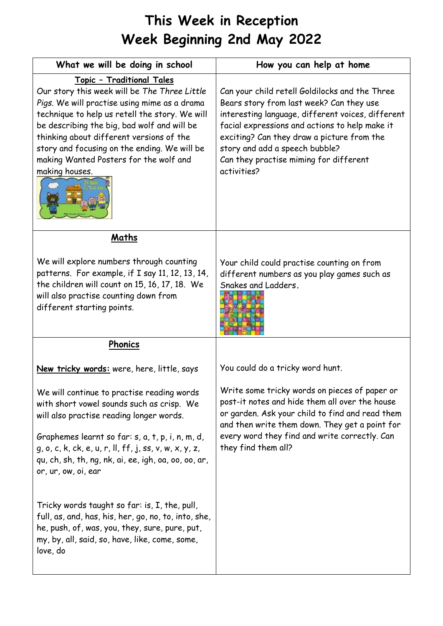## **This Week in Reception Week Beginning 2nd May 2022**

| What we will be doing in school                                                                                                                                                                                                                                                                                                                                                    | How you can help at home                                                                                                                                                                                                                                                                                                                   |
|------------------------------------------------------------------------------------------------------------------------------------------------------------------------------------------------------------------------------------------------------------------------------------------------------------------------------------------------------------------------------------|--------------------------------------------------------------------------------------------------------------------------------------------------------------------------------------------------------------------------------------------------------------------------------------------------------------------------------------------|
| Topic - Traditional Tales<br>Our story this week will be The Three Little<br>Pigs. We will practise using mime as a drama<br>technique to help us retell the story. We will<br>be describing the big, bad wolf and will be<br>thinking about different versions of the<br>story and focusing on the ending. We will be<br>making Wanted Posters for the wolf and<br>making houses. | Can your child retell Goldilocks and the Three<br>Bears story from last week? Can they use<br>interesting language, different voices, different<br>facial expressions and actions to help make it<br>exciting? Can they draw a picture from the<br>story and add a speech bubble?<br>Can they practise miming for different<br>activities? |
| Maths                                                                                                                                                                                                                                                                                                                                                                              |                                                                                                                                                                                                                                                                                                                                            |
| We will explore numbers through counting<br>patterns. For example, if I say 11, 12, 13, 14,<br>the children will count on 15, 16, 17, 18. We<br>will also practise counting down from<br>different starting points.                                                                                                                                                                | Your child could practise counting on from<br>different numbers as you play games such as<br>Snakes and Ladders.                                                                                                                                                                                                                           |
| Phonics                                                                                                                                                                                                                                                                                                                                                                            |                                                                                                                                                                                                                                                                                                                                            |
| New tricky words: were, here, little, says                                                                                                                                                                                                                                                                                                                                         | You could do a tricky word hunt.                                                                                                                                                                                                                                                                                                           |
| We will continue to practise reading words<br>with short vowel sounds such as crisp. We<br>will also practise reading longer words.<br>Graphemes learnt so far: s, a, t, p, i, n, m, d,<br>$g$ , o, c, k, ck, e, u, r, ll, ff, j, ss, v, w, x, y, z,<br>qu, ch, sh, th, ng, nk, ai, ee, igh, oa, oo, oo, ar,<br>or, ur, ow, oi, ear                                                | Write some tricky words on pieces of paper or<br>post-it notes and hide them all over the house<br>or garden. Ask your child to find and read them<br>and then write them down. They get a point for<br>every word they find and write correctly. Can<br>they find them all?                                                               |
| Tricky words taught so far: is, I, the, pull,<br>full, as, and, has, his, her, go, no, to, into, she,<br>he, push, of, was, you, they, sure, pure, put,<br>my, by, all, said, so, have, like, come, some,<br>love, do                                                                                                                                                              |                                                                                                                                                                                                                                                                                                                                            |